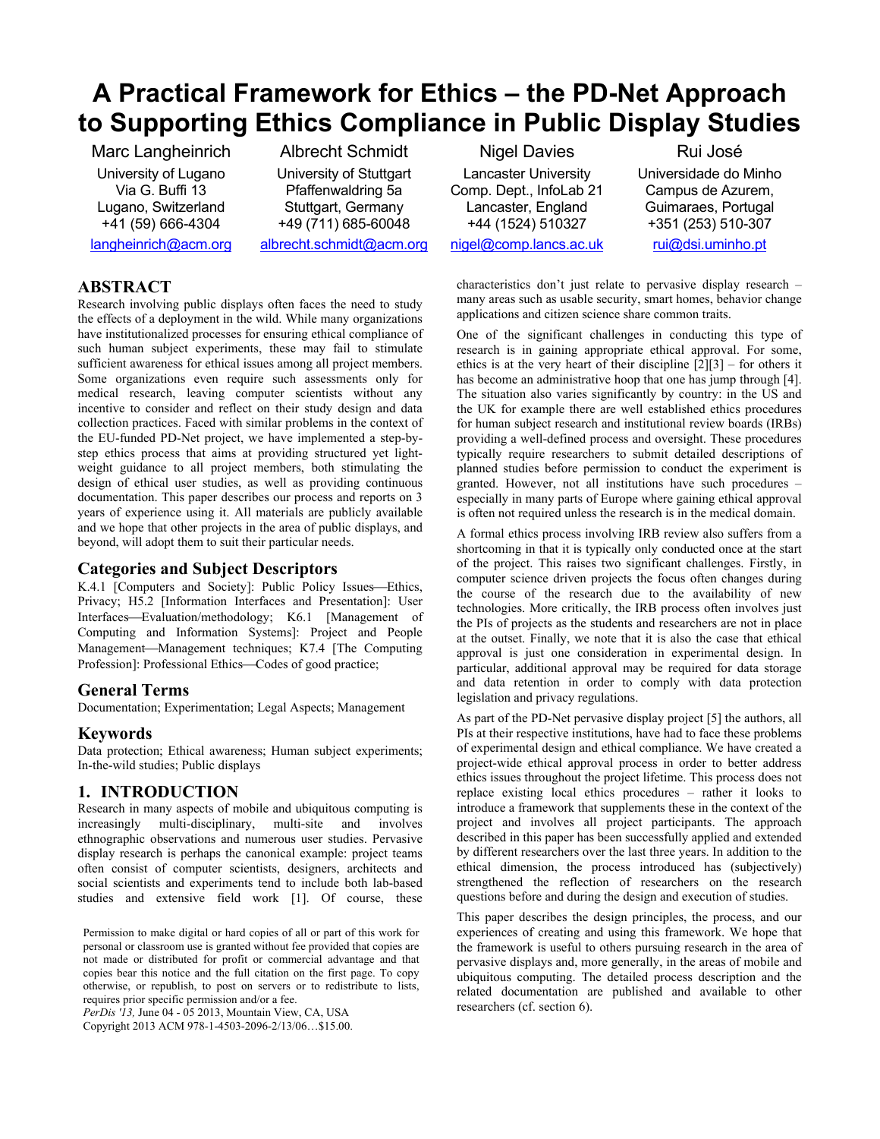# **A Practical Framework for Ethics – the PD-Net Approach to Supporting Ethics Compliance in Public Display Studies**

Marc Langheinrich University of Lugano Via G. Buffi 13 Lugano, Switzerland +41 (59) 666-4304

Albrecht Schmidt University of Stuttgart Pfaffenwaldring 5a Stuttgart, Germany +49 (711) 685-60048 albrecht.schmidt@acm.org

langheinrich@acm.org

**ABSTRACT**

Research involving public displays often faces the need to study the effects of a deployment in the wild. While many organizations have institutionalized processes for ensuring ethical compliance of such human subject experiments, these may fail to stimulate sufficient awareness for ethical issues among all project members. Some organizations even require such assessments only for medical research, leaving computer scientists without any incentive to consider and reflect on their study design and data collection practices. Faced with similar problems in the context of the EU-funded PD-Net project, we have implemented a step-bystep ethics process that aims at providing structured yet lightweight guidance to all project members, both stimulating the design of ethical user studies, as well as providing continuous documentation. This paper describes our process and reports on 3 years of experience using it. All materials are publicly available and we hope that other projects in the area of public displays, and beyond, will adopt them to suit their particular needs.

### **Categories and Subject Descriptors**

K.4.1 [Computers and Society]: Public Policy Issues-Ethics, Privacy; H5.2 [Information Interfaces and Presentation]: User Interfaces-Evaluation/methodology; K6.1 [Management of Computing and Information Systems]: Project and People Management-Management techniques; K7.4 [The Computing Profession]: Professional Ethics—Codes of good practice;

#### **General Terms**

Documentation; Experimentation; Legal Aspects; Management

#### **Keywords**

Data protection; Ethical awareness; Human subject experiments; In-the-wild studies; Public displays

### **1. INTRODUCTION**

Research in many aspects of mobile and ubiquitous computing is increasingly multi-disciplinary, multi-site and involves ethnographic observations and numerous user studies. Pervasive display research is perhaps the canonical example: project teams often consist of computer scientists, designers, architects and social scientists and experiments tend to include both lab-based studies and extensive field work [1]. Of course, these

*PerDis '13,* June 04 - 05 2013, Mountain View, CA, USA Copyright 2013 ACM 978-1-4503-2096-2/13/06…\$15.00.

Nigel Davies Lancaster University Comp. Dept., InfoLab 21 Lancaster, England +44 (1524) 510327 nigel@comp.lancs.ac.uk

Rui José Universidade do Minho Campus de Azurem, Guimaraes, Portugal +351 (253) 510-307

rui@dsi.uminho.pt

characteristics don't just relate to pervasive display research – many areas such as usable security, smart homes, behavior change applications and citizen science share common traits.

One of the significant challenges in conducting this type of research is in gaining appropriate ethical approval. For some, ethics is at the very heart of their discipline  $[2][3]$  – for others it has become an administrative hoop that one has jump through [4]. The situation also varies significantly by country: in the US and the UK for example there are well established ethics procedures for human subject research and institutional review boards (IRBs) providing a well-defined process and oversight. These procedures typically require researchers to submit detailed descriptions of planned studies before permission to conduct the experiment is granted. However, not all institutions have such procedures – especially in many parts of Europe where gaining ethical approval is often not required unless the research is in the medical domain.

A formal ethics process involving IRB review also suffers from a shortcoming in that it is typically only conducted once at the start of the project. This raises two significant challenges. Firstly, in computer science driven projects the focus often changes during the course of the research due to the availability of new technologies. More critically, the IRB process often involves just the PIs of projects as the students and researchers are not in place at the outset. Finally, we note that it is also the case that ethical approval is just one consideration in experimental design. In particular, additional approval may be required for data storage and data retention in order to comply with data protection legislation and privacy regulations.

As part of the PD-Net pervasive display project [5] the authors, all PIs at their respective institutions, have had to face these problems of experimental design and ethical compliance. We have created a project-wide ethical approval process in order to better address ethics issues throughout the project lifetime. This process does not replace existing local ethics procedures – rather it looks to introduce a framework that supplements these in the context of the project and involves all project participants. The approach described in this paper has been successfully applied and extended by different researchers over the last three years. In addition to the ethical dimension, the process introduced has (subjectively) strengthened the reflection of researchers on the research questions before and during the design and execution of studies.

This paper describes the design principles, the process, and our experiences of creating and using this framework. We hope that the framework is useful to others pursuing research in the area of pervasive displays and, more generally, in the areas of mobile and ubiquitous computing. The detailed process description and the related documentation are published and available to other researchers (cf. section 6).

Permission to make digital or hard copies of all or part of this work for personal or classroom use is granted without fee provided that copies are not made or distributed for profit or commercial advantage and that copies bear this notice and the full citation on the first page. To copy otherwise, or republish, to post on servers or to redistribute to lists, requires prior specific permission and/or a fee.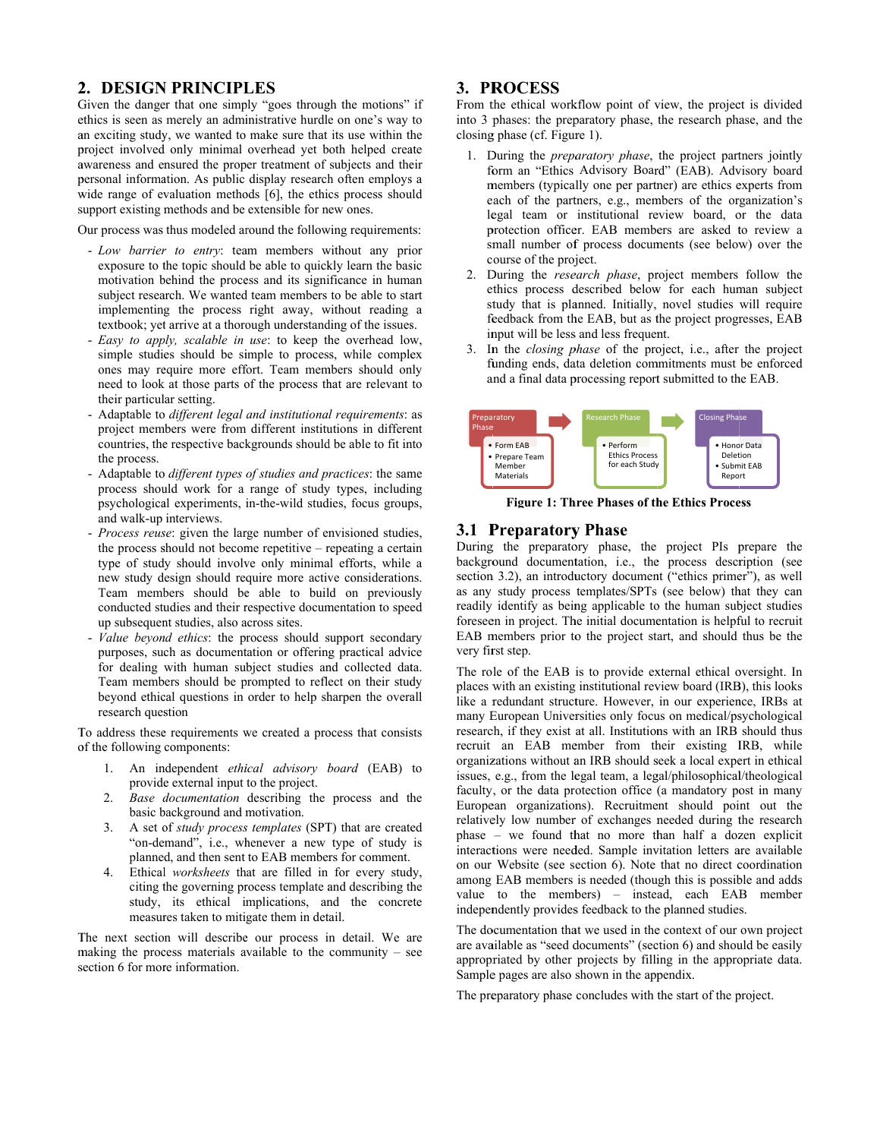### 2. DESIGN PRINCIPLES

Given the danger that one simply "goes through the motions" if ethics is seen as merely an administrative hurdle on one's way to an exciting study, we wanted to make sure that its use within the project involved only minimal overhead yet both helped create awareness and ensured the proper treatment of subjects and their personal information. As public display research often employs a wide range of evaluation methods [6], the ethics process should support existing methods and be extensible for new ones.

Our process was thus modeled around the following requirements:

- Low barrier to entry: team members without any prior exposure to the topic should be able to quickly learn the basic motivation behind the process and its significance in human subject research. We wanted team members to be able to start implementing the process right away, without reading a textbook; yet arrive at a thorough understanding of the issues.
- Easy to apply, scalable in use: to keep the overhead low, simple studies should be simple to process, while complex ones may require more effort. Team members should only need to look at those parts of the process that are relevant to their particular setting.
- Adaptable to different legal and institutional requirements: as project members were from different institutions in different countries, the respective backgrounds should be able to fit into the process.
- Adaptable to different types of studies and practices: the same process should work for a range of study types, including psychological experiments, in-the-wild studies, focus groups, and walk-up interviews.
- Process reuse: given the large number of envisioned studies, the process should not become repetitive – repeating a certain type of study should involve only minimal efforts, while a new study design should require more active considerations. Team members should be able to build on previously conducted studies and their respective documentation to speed up subsequent studies, also across sites.
- Value beyond ethics: the process should support secondary purposes, such as documentation or offering practical advice for dealing with human subject studies and collected data. Team members should be prompted to reflect on their study beyond ethical questions in order to help sharpen the overall research question

To address these requirements we created a process that consists of the following components:

- 1. An independent ethical advisory board (EAB) to provide external input to the project.
- Base documentation describing the process and the  $2<sub>1</sub>$ basic background and motivation.
- $\mathcal{E}$ A set of *study process templates* (SPT) that are created "on-demand", i.e., whenever a new type of study is planned, and then sent to EAB members for comment.
- 4. Ethical worksheets that are filled in for every study, citing the governing process template and describing the study, its ethical implications, and the concrete measures taken to mitigate them in detail.

The next section will describe our process in detail. We are making the process materials available to the community  $-$  see section 6 for more information.

### 3. PROCESS

From the ethical workflow point of view, the project is divided into 3 phases: the preparatory phase, the research phase, and the closing phase (cf. Figure 1).

- 1. During the *preparatory phase*, the project partners jointly form an "Ethics Advisory Board" (EAB). Advisory board members (typically one per partner) are ethics experts from each of the partners, e.g., members of the organization's legal team or institutional review board, or the data protection officer. EAB members are asked to review a small number of process documents (see below) over the course of the project.
- 2. During the *research phase*, project members follow the ethics process described below for each human subject study that is planned. Initially, novel studies will require feedback from the EAB, but as the project progresses. EAB input will be less and less frequent.
- 3. In the *closing phase* of the project, i.e., after the project funding ends, data deletion commitments must be enforced and a final data processing report submitted to the EAB.



**Figure 1: Three Phases of the Ethics Process** 

### **3.1 Preparatory Phase**

During the preparatory phase, the project PIs prepare the background documentation, i.e., the process description (see section 3.2), an introductory document ("ethics primer"), as well as any study process templates/SPTs (see below) that they can readily identify as being applicable to the human subject studies foreseen in project. The initial documentation is helpful to recruit EAB members prior to the project start, and should thus be the very first step.

The role of the EAB is to provide external ethical oversight. In places with an existing institutional review board (IRB), this looks like a redundant structure. However, in our experience, IRBs at many European Universities only focus on medical/psychological research, if they exist at all. Institutions with an IRB should thus recruit an EAB member from their existing IRB, while organizations without an IRB should seek a local expert in ethical issues, e.g., from the legal team, a legal/philosophical/theological faculty, or the data protection office (a mandatory post in many European organizations). Recruitment should point out the relatively low number of exchanges needed during the research phase – we found that no more than half a dozen explicit interactions were needed. Sample invitation letters are available on our Website (see section 6). Note that no direct coordination among EAB members is needed (though this is possible and adds value to the members) – instead, each EAB member independently provides feedback to the planned studies.

The documentation that we used in the context of our own project are available as "seed documents" (section 6) and should be easily appropriated by other projects by filling in the appropriate data. Sample pages are also shown in the appendix.

The preparatory phase concludes with the start of the project.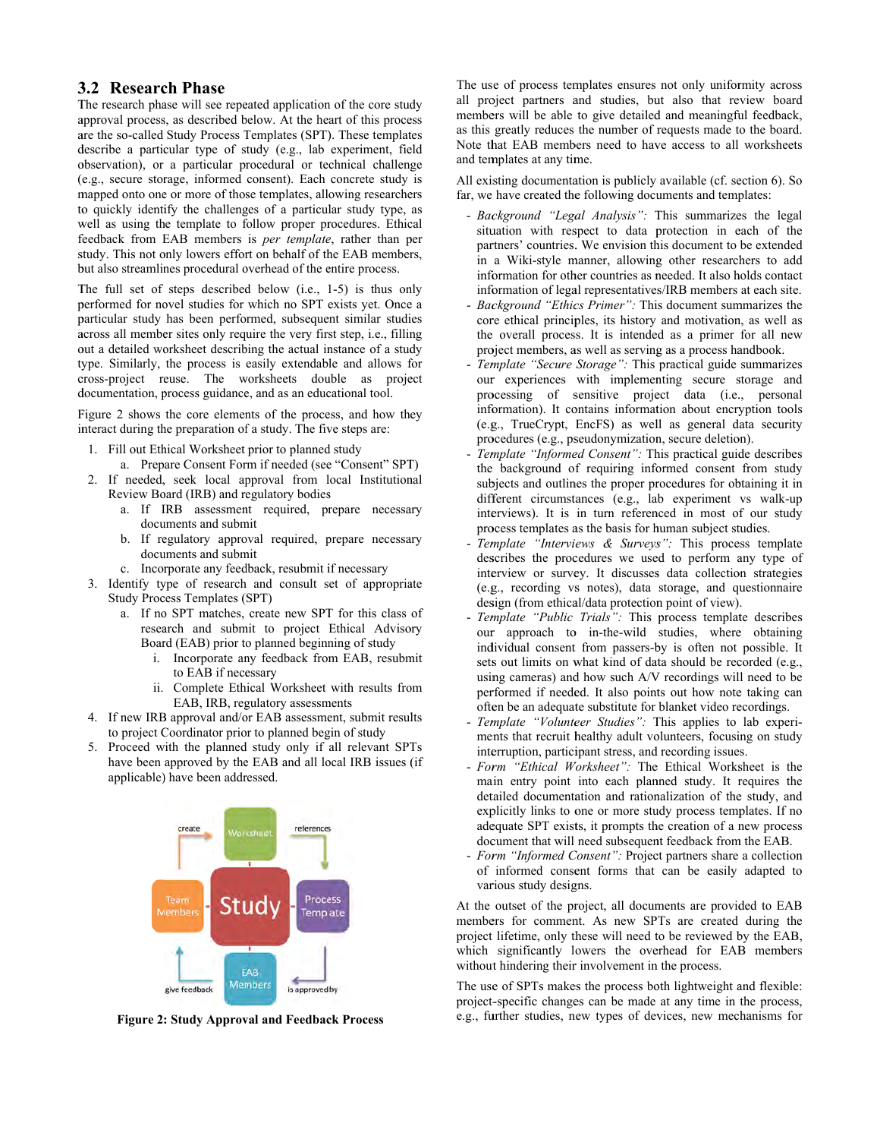### **3 3.2 Researc ch Phase**

The research phase will see repeated application of the core study approval process, as described below. At the heart of this process are the so-called Study Process Templates (SPT). These templates describe a particular type of study (e.g., lab experiment, field observation), or a particular procedural or technical challenge (e.g., secure storage, informed consent). Each concrete study is mapped onto one or more of those templates, allowing researchers to quickly identify the challenges of a particular study type, as well as using the template to follow proper procedures. Ethical feedback from EAB members is *per template*, rather than per study. This not only lowers effort on behalf of the EAB members, but also streamlines procedural overhead of the entire process.

The full set of steps described below (i.e., 1-5) is thus only performed for novel studies for which no SPT exists yet. Once a particular study has been performed, subsequent similar studies across all member sites only require the very first step, i.e., filling out a detailed worksheet describing the actual instance of a study type. Similarly, the process is easily extendable and allows for cross-project reuse. The worksheets double as project documentation, process guidance, and as an educational tool.

Figure 2 shows the core elements of the process, and how they interact during the preparation of a study. The five steps are:

- 1. Fill out Ethical Worksheet prior to planned study
	- a. Prepare Consent Form if needed (see "Consent" SPT)
- 2. If needed, seek local approval from local Institutional Review Board (IRB) and regulatory bodies exiew Board (IRB) and regulatory bodies<br>a. If IRB assessment required, prepare necessary
	- documents and submit
	- b. If regulatory approval required, prepare necessary documents and submit
	- c. Incorporate any feedback, resubmit if necessary
- 3. Identify type of research and consult set of appropriate Study Process Templates (SPT)
	- a. If no SPT matches, create new SPT for this class of research and submit to project Ethical Advisory Board (EAB) prior to planned beginning of study
		- i. Incorporate any feedback from EAB, resubmit to EAB if necessary
		- ii. Complete Ethical Worksheet with results from EAB, IRB, regulatory assessments
- 4. If new IRB approval and/or EAB assessment, submit results to project Coordinator prior to planned begin of study
- 5. Proceed with the planned study only if all relevant SPTs have been approved by the EAB and all local IRB issues (if applicable) have been addressed.



Figure 2: Study Approval and Feedback Process

The use of process templates ensures not only uniformity across all project partners and studies, but also that review board members will be able to give detailed and meaningful feedback, as this greatly reduces the number of requests made to the board. Note that EAB members need to have access to all worksheets and templates at any time.

All existing documentation is publicly available (cf. section 6). So far, we have created the following documents and templates:

- *Background "Legal Analysis"*: This summarizes the legal situation with respect to data protection in each of the partners' countries. We envision this document to be extended in a Wiki-style manner, allowing other researchers to add information for other countries as needed. It also holds contact information of legal representatives/IRB members at each site.
- *Background "Ethics Primer"*: This document summarizes the core ethical principles, its history and motivation, as well as the overall process. It is intended as a primer for all new project members, as well as serving as a process handbook.
- Template "Secure Storage": This practical guide summarizes our experiences with implementing secure storage and processing of sensitive project data (i.e., personal information). It contains information about encryption tools (e.g g., TrueCrypt, EncFS) as wel ll as general d ata security procedures (e.g., pseudonymization, secure deletion).
- Template "Informed Consent": This practical guide describes the background of requiring informed consent from study subjects and outlines the proper procedures for obtaining it in different circumstances (e.g., lab experiment vs walk-up interviews). It is in turn referenced in most of our study process templates as the basis for human subject studies.
- *Template "Interviews & Surveys"*: This process template describes the procedures we used to perform any type of interview or survey. It discusses data collection strategies (e.g g., recording vs s notes), data storage, and qu uestionnaire design (from ethical/data protection point of view).
- Template "Public Trials": This process template describes our approach to in-the-wild studies, where obtaining individual consent from passers-by is often not possible. It sets out limits on what kind of data should be recorded (e.g., using cameras) and how such A/V recordings will need to be performed if needed. It also points out how note taking can often be an adequate substitute for blanket video recordings.
- Template "Volunteer Studies": This applies to lab experiments that recruit healthy adult volunteers, focusing on study interruption, participant stress, and recording issues.
- Form "Ethical Worksheet": The Ethical Worksheet is the main entry point into each planned study. It requires the detailed documentation and rationalization of the study, and explicitly links to one or more study process templates. If no adequate SPT exists, it prompts the creation of a new process document that will need subsequent feedback from the EAB.
- Form "Informed Consent": Project partners share a collection of informed consent forms that can be easily adapted to various study designs.

At the outset of the project, all documents are provided to EAB members for comment. As new SPTs are created during the project lifetime, only these will need to be reviewed by the EAB, which significantly lowers the overhead for EAB members without hindering their involvement in the process.

The use of SPTs makes the process both lightweight and flexible: project-specific changes can be made at any time in the process, e.g., further studies, new types of devices, new mechanisms for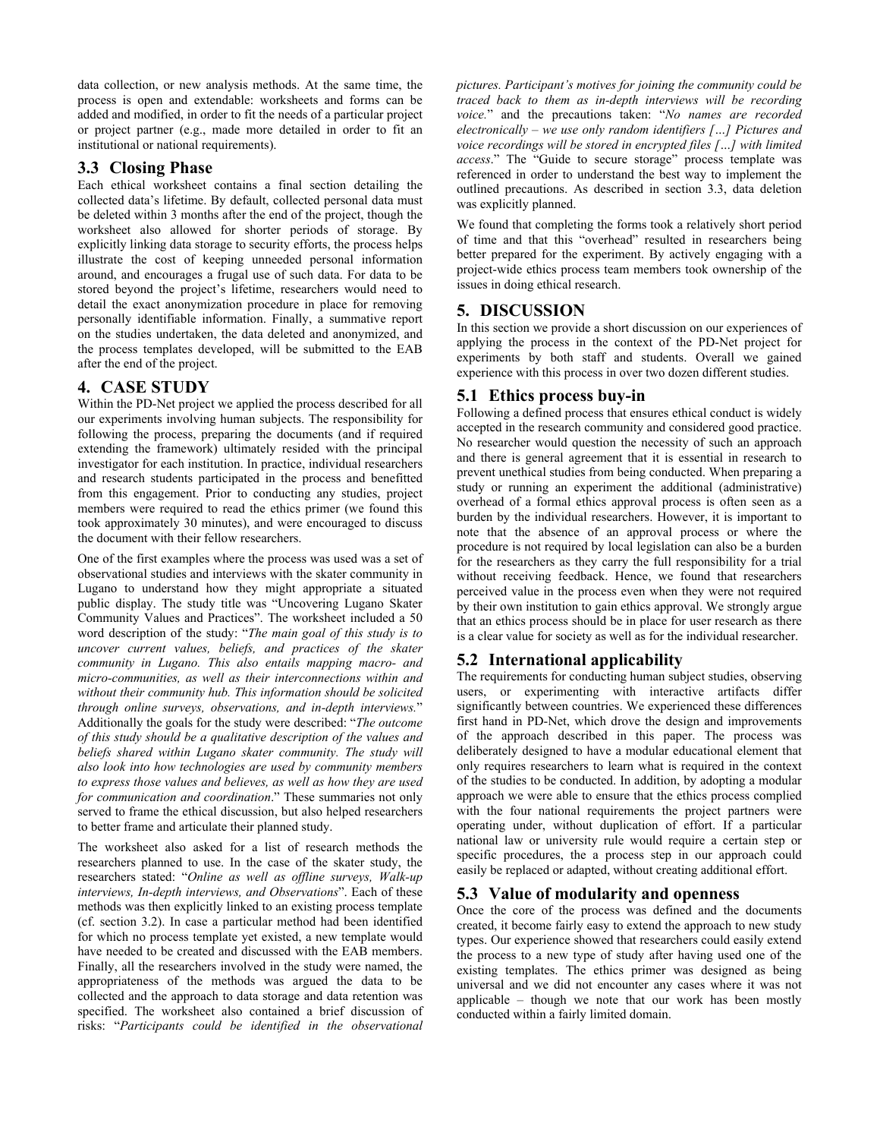data collection, or new analysis methods. At the same time, the process is open and extendable: worksheets and forms can be added and modified, in order to fit the needs of a particular project or project partner (e.g., made more detailed in order to fit an institutional or national requirements).

### **3.3 Closing Phase**

Each ethical worksheet contains a final section detailing the collected data's lifetime. By default, collected personal data must be deleted within 3 months after the end of the project, though the worksheet also allowed for shorter periods of storage. By explicitly linking data storage to security efforts, the process helps illustrate the cost of keeping unneeded personal information around, and encourages a frugal use of such data. For data to be stored beyond the project's lifetime, researchers would need to detail the exact anonymization procedure in place for removing personally identifiable information. Finally, a summative report on the studies undertaken, the data deleted and anonymized, and the process templates developed, will be submitted to the EAB after the end of the project.

# **4. CASE STUDY**

Within the PD-Net project we applied the process described for all our experiments involving human subjects. The responsibility for following the process, preparing the documents (and if required extending the framework) ultimately resided with the principal investigator for each institution. In practice, individual researchers and research students participated in the process and benefitted from this engagement. Prior to conducting any studies, project members were required to read the ethics primer (we found this took approximately 30 minutes), and were encouraged to discuss the document with their fellow researchers.

One of the first examples where the process was used was a set of observational studies and interviews with the skater community in Lugano to understand how they might appropriate a situated public display. The study title was "Uncovering Lugano Skater Community Values and Practices". The worksheet included a 50 word description of the study: "*The main goal of this study is to uncover current values, beliefs, and practices of the skater community in Lugano. This also entails mapping macro- and micro-communities, as well as their interconnections within and without their community hub. This information should be solicited through online surveys, observations, and in-depth interviews.*" Additionally the goals for the study were described: "*The outcome of this study should be a qualitative description of the values and beliefs shared within Lugano skater community. The study will also look into how technologies are used by community members to express those values and believes, as well as how they are used for communication and coordination*." These summaries not only served to frame the ethical discussion, but also helped researchers to better frame and articulate their planned study.

The worksheet also asked for a list of research methods the researchers planned to use. In the case of the skater study, the researchers stated: "*Online as well as offline surveys, Walk-up interviews, In-depth interviews, and Observations*". Each of these methods was then explicitly linked to an existing process template (cf. section 3.2). In case a particular method had been identified for which no process template yet existed, a new template would have needed to be created and discussed with the EAB members. Finally, all the researchers involved in the study were named, the appropriateness of the methods was argued the data to be collected and the approach to data storage and data retention was specified. The worksheet also contained a brief discussion of risks: "*Participants could be identified in the observational* 

*pictures. Participant's motives for joining the community could be traced back to them as in-depth interviews will be recording*  voice." and the precautions taken: "No names are recorded *electronically – we use only random identifiers […] Pictures and voice recordings will be stored in encrypted files […] with limited access*." The "Guide to secure storage" process template was referenced in order to understand the best way to implement the outlined precautions. As described in section 3.3, data deletion was explicitly planned.

We found that completing the forms took a relatively short period of time and that this "overhead" resulted in researchers being better prepared for the experiment. By actively engaging with a project-wide ethics process team members took ownership of the issues in doing ethical research.

# **5. DISCUSSION**

In this section we provide a short discussion on our experiences of applying the process in the context of the PD-Net project for experiments by both staff and students. Overall we gained experience with this process in over two dozen different studies.

# **5.1 Ethics process buy-in**

Following a defined process that ensures ethical conduct is widely accepted in the research community and considered good practice. No researcher would question the necessity of such an approach and there is general agreement that it is essential in research to prevent unethical studies from being conducted. When preparing a study or running an experiment the additional (administrative) overhead of a formal ethics approval process is often seen as a burden by the individual researchers. However, it is important to note that the absence of an approval process or where the procedure is not required by local legislation can also be a burden for the researchers as they carry the full responsibility for a trial without receiving feedback. Hence, we found that researchers perceived value in the process even when they were not required by their own institution to gain ethics approval. We strongly argue that an ethics process should be in place for user research as there is a clear value for society as well as for the individual researcher.

# **5.2 International applicability**

The requirements for conducting human subject studies, observing users, or experimenting with interactive artifacts differ significantly between countries. We experienced these differences first hand in PD-Net, which drove the design and improvements of the approach described in this paper. The process was deliberately designed to have a modular educational element that only requires researchers to learn what is required in the context of the studies to be conducted. In addition, by adopting a modular approach we were able to ensure that the ethics process complied with the four national requirements the project partners were operating under, without duplication of effort. If a particular national law or university rule would require a certain step or specific procedures, the a process step in our approach could easily be replaced or adapted, without creating additional effort.

# **5.3 Value of modularity and openness**

Once the core of the process was defined and the documents created, it become fairly easy to extend the approach to new study types. Our experience showed that researchers could easily extend the process to a new type of study after having used one of the existing templates. The ethics primer was designed as being universal and we did not encounter any cases where it was not applicable – though we note that our work has been mostly conducted within a fairly limited domain.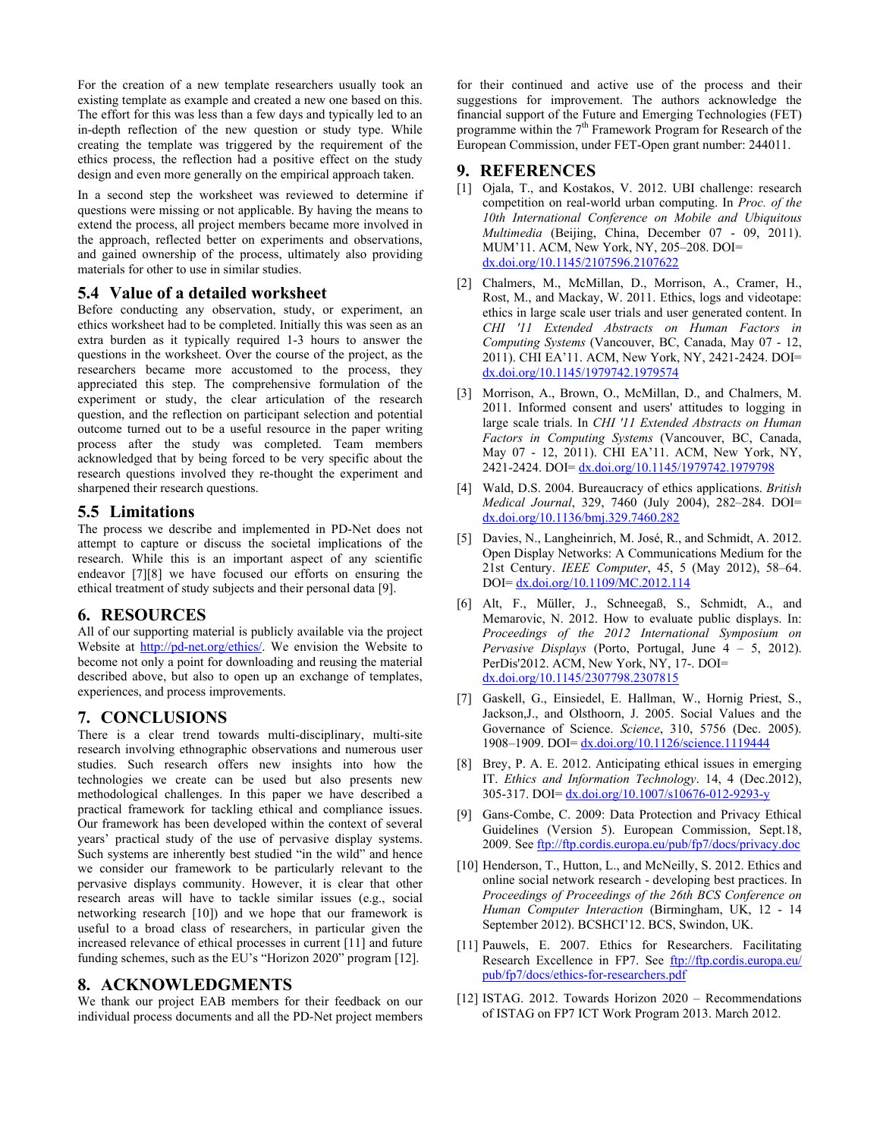For the creation of a new template researchers usually took an existing template as example and created a new one based on this. The effort for this was less than a few days and typically led to an in-depth reflection of the new question or study type. While creating the template was triggered by the requirement of the ethics process, the reflection had a positive effect on the study design and even more generally on the empirical approach taken.

In a second step the worksheet was reviewed to determine if questions were missing or not applicable. By having the means to extend the process, all project members became more involved in the approach, reflected better on experiments and observations, and gained ownership of the process, ultimately also providing materials for other to use in similar studies.

### **5.4 Value of a detailed worksheet**

Before conducting any observation, study, or experiment, an ethics worksheet had to be completed. Initially this was seen as an extra burden as it typically required 1-3 hours to answer the questions in the worksheet. Over the course of the project, as the researchers became more accustomed to the process, they appreciated this step. The comprehensive formulation of the experiment or study, the clear articulation of the research question, and the reflection on participant selection and potential outcome turned out to be a useful resource in the paper writing process after the study was completed. Team members acknowledged that by being forced to be very specific about the research questions involved they re-thought the experiment and sharpened their research questions.

### **5.5 Limitations**

The process we describe and implemented in PD-Net does not attempt to capture or discuss the societal implications of the research. While this is an important aspect of any scientific endeavor [7][8] we have focused our efforts on ensuring the ethical treatment of study subjects and their personal data [9].

#### **6. RESOURCES**

All of our supporting material is publicly available via the project Website at http://pd-net.org/ethics/. We envision the Website to become not only a point for downloading and reusing the material described above, but also to open up an exchange of templates, experiences, and process improvements.

#### **7. CONCLUSIONS**

There is a clear trend towards multi-disciplinary, multi-site research involving ethnographic observations and numerous user studies. Such research offers new insights into how the technologies we create can be used but also presents new methodological challenges. In this paper we have described a practical framework for tackling ethical and compliance issues. Our framework has been developed within the context of several years' practical study of the use of pervasive display systems. Such systems are inherently best studied "in the wild" and hence we consider our framework to be particularly relevant to the pervasive displays community. However, it is clear that other research areas will have to tackle similar issues (e.g., social networking research [10]) and we hope that our framework is useful to a broad class of researchers, in particular given the increased relevance of ethical processes in current [11] and future funding schemes, such as the EU's "Horizon 2020" program [12].

### **8. ACKNOWLEDGMENTS**

We thank our project EAB members for their feedback on our individual process documents and all the PD-Net project members for their continued and active use of the process and their suggestions for improvement. The authors acknowledge the financial support of the Future and Emerging Technologies (FET) programme within the 7<sup>th</sup> Framework Program for Research of the European Commission, under FET-Open grant number: 244011.

#### **9. REFERENCES**

- [1] Ojala, T., and Kostakos, V. 2012. UBI challenge: research competition on real-world urban computing. In *Proc. of the 10th International Conference on Mobile and Ubiquitous Multimedia* (Beijing, China, December 07 - 09, 2011). MUM'11. ACM, New York, NY, 205–208. DOI= dx.doi.org/10.1145/2107596.2107622
- [2] Chalmers, M., McMillan, D., Morrison, A., Cramer, H., Rost, M., and Mackay, W. 2011. Ethics, logs and videotape: ethics in large scale user trials and user generated content. In *CHI '11 Extended Abstracts on Human Factors in Computing Systems* (Vancouver, BC, Canada, May 07 - 12, 2011). CHI EA'11. ACM, New York, NY, 2421-2424. DOI= dx.doi.org/10.1145/1979742.1979574
- [3] Morrison, A., Brown, O., McMillan, D., and Chalmers, M. 2011. Informed consent and users' attitudes to logging in large scale trials. In *CHI '11 Extended Abstracts on Human Factors in Computing Systems* (Vancouver, BC, Canada, May 07 - 12, 2011). CHI EA'11. ACM, New York, NY, 2421-2424. DOI= dx.doi.org/10.1145/1979742.1979798
- [4] Wald, D.S. 2004. Bureaucracy of ethics applications. *British Medical Journal*, 329, 7460 (July 2004), 282–284. DOI= dx.doi.org/10.1136/bmj.329.7460.282
- [5] Davies, N., Langheinrich, M. José, R., and Schmidt, A. 2012. Open Display Networks: A Communications Medium for the 21st Century. *IEEE Computer*, 45, 5 (May 2012), 58–64. DOI= dx.doi.org/10.1109/MC.2012.114
- [6] Alt, F., Müller, J., Schneegaß, S., Schmidt, A., and Memarovic, N. 2012. How to evaluate public displays. In: *Proceedings of the 2012 International Symposium on Pervasive Displays* (Porto, Portugal, June 4 – 5, 2012). PerDis'2012. ACM, New York, NY, 17-. DOI= dx.doi.org/10.1145/2307798.2307815
- [7] Gaskell, G., Einsiedel, E. Hallman, W., Hornig Priest, S., Jackson,J., and Olsthoorn, J. 2005. Social Values and the Governance of Science. *Science*, 310, 5756 (Dec. 2005). 1908–1909. DOI=  $dx$ .doi.org/10.1126/science.11</u>19444
- [8] Brey, P. A. E. 2012. Anticipating ethical issues in emerging IT. *Ethics and Information Technology*. 14, 4 (Dec.2012), 305-317. DOI= dx.doi.org/10.1007/s10676-012-9293-y
- [9] Gans-Combe, C. 2009: Data Protection and Privacy Ethical Guidelines (Version 5). European Commission, Sept.18, 2009. See ftp://ftp.cordis.europa.eu/pub/fp7/docs/privacy.doc
- [10] Henderson, T., Hutton, L., and McNeilly, S. 2012. Ethics and online social network research - developing best practices. In *Proceedings of Proceedings of the 26th BCS Conference on Human Computer Interaction* (Birmingham, UK, 12 - 14 September 2012). BCSHCI'12. BCS, Swindon, UK.
- [11] Pauwels, E. 2007. Ethics for Researchers. Facilitating Research Excellence in FP7. See ftp://ftp.cordis.europa.eu/ pub/fp7/docs/ethics-for-researchers.pdf
- [12] ISTAG. 2012. Towards Horizon 2020 Recommendations of ISTAG on FP7 ICT Work Program 2013. March 2012.